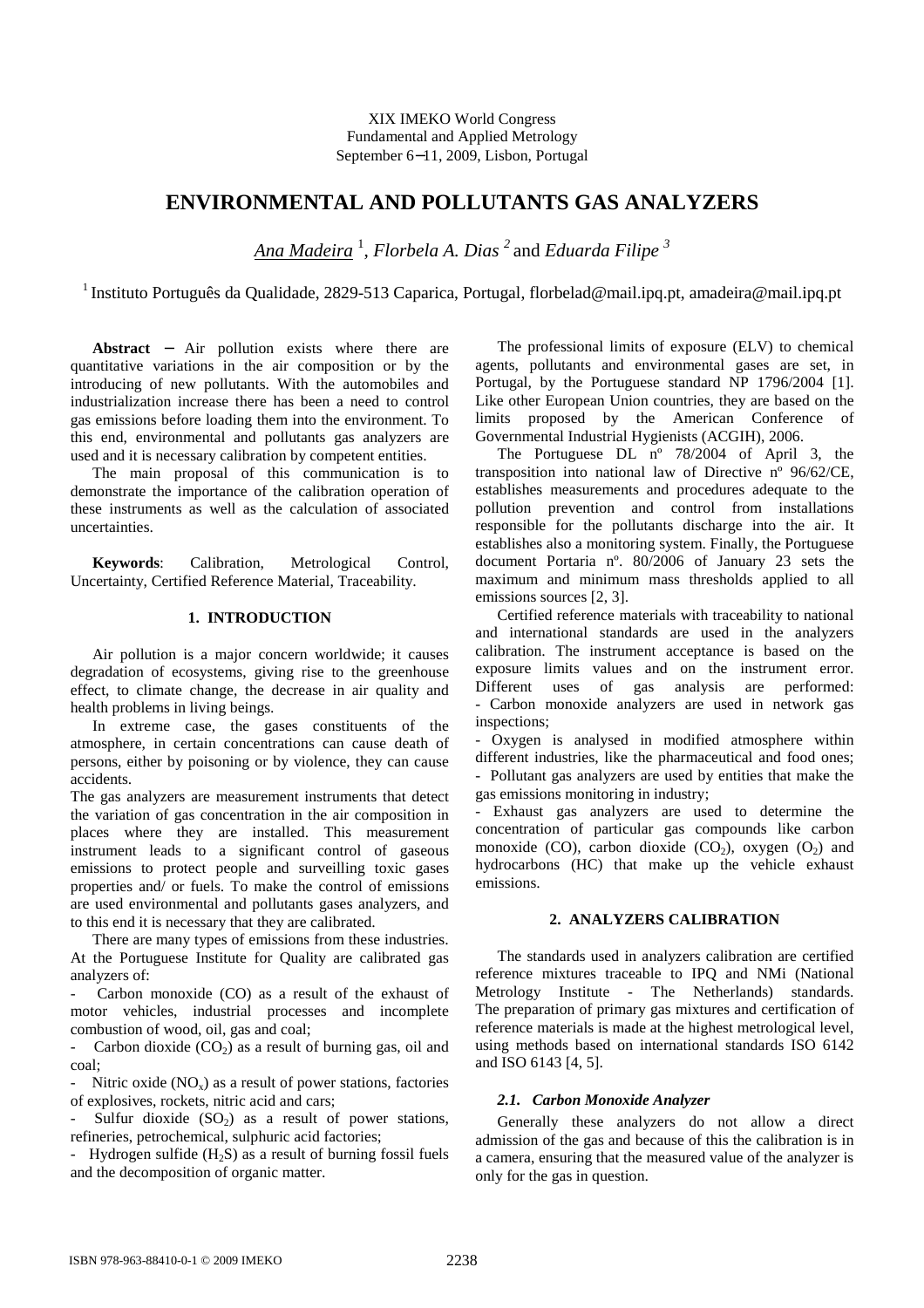XIX IMEKO World Congress Fundamental and Applied Metrology September 6−11, 2009, Lisbon, Portugal

# **ENVIRONMENTAL AND POLLUTANTS GAS ANALYZERS**

*Ana Madeira* <sup>1</sup> , *Florbela A. Dias <sup>2</sup>*and *Eduarda Filipe <sup>3</sup>* 

<sup>1</sup>Instituto Português da Qualidade, 2829-513 Caparica, Portugal, florbelad@mail.ipq.pt, amadeira@mail.ipq.pt

**Abstract** − Air pollution exists where there are quantitative variations in the air composition or by the introducing of new pollutants. With the automobiles and industrialization increase there has been a need to control gas emissions before loading them into the environment. To this end, environmental and pollutants gas analyzers are used and it is necessary calibration by competent entities.

The main proposal of this communication is to demonstrate the importance of the calibration operation of these instruments as well as the calculation of associated uncertainties.

**Keywords**: Calibration, Metrological Control, Uncertainty, Certified Reference Material, Traceability.

# **1. INTRODUCTION**

Air pollution is a major concern worldwide; it causes degradation of ecosystems, giving rise to the greenhouse effect, to climate change, the decrease in air quality and health problems in living beings.

In extreme case, the gases constituents of the atmosphere, in certain concentrations can cause death of persons, either by poisoning or by violence, they can cause accidents.

The gas analyzers are measurement instruments that detect the variation of gas concentration in the air composition in places where they are installed. This measurement instrument leads to a significant control of gaseous emissions to protect people and surveilling toxic gases properties and/ or fuels. To make the control of emissions are used environmental and pollutants gases analyzers, and to this end it is necessary that they are calibrated.

There are many types of emissions from these industries. At the Portuguese Institute for Quality are calibrated gas analyzers of:

Carbon monoxide (CO) as a result of the exhaust of motor vehicles, industrial processes and incomplete combustion of wood, oil, gas and coal;

Carbon dioxide  $(CO<sub>2</sub>)$  as a result of burning gas, oil and coal;

Nitric oxide  $(NO_x)$  as a result of power stations, factories of explosives, rockets, nitric acid and cars;

Sulfur dioxide  $(SO<sub>2</sub>)$  as a result of power stations, refineries, petrochemical, sulphuric acid factories;

- Hydrogen sulfide  $(H_2S)$  as a result of burning fossil fuels and the decomposition of organic matter.

The professional limits of exposure (ELV) to chemical agents, pollutants and environmental gases are set, in Portugal, by the Portuguese standard NP 1796/2004 [1]. Like other European Union countries, they are based on the limits proposed by the American Conference of Governmental Industrial Hygienists (ACGIH), 2006.

The Portuguese DL nº 78/2004 of April 3, the transposition into national law of Directive nº 96/62/CE, establishes measurements and procedures adequate to the pollution prevention and control from installations responsible for the pollutants discharge into the air. It establishes also a monitoring system. Finally, the Portuguese document Portaria nº. 80/2006 of January 23 sets the maximum and minimum mass thresholds applied to all emissions sources [2, 3].

Certified reference materials with traceability to national and international standards are used in the analyzers calibration. The instrument acceptance is based on the exposure limits values and on the instrument error. Different uses of gas analysis are performed: - Carbon monoxide analyzers are used in network gas inspections;

- Oxygen is analysed in modified atmosphere within different industries, like the pharmaceutical and food ones; - Pollutant gas analyzers are used by entities that make the gas emissions monitoring in industry;

- Exhaust gas analyzers are used to determine the concentration of particular gas compounds like carbon monoxide (CO), carbon dioxide (CO<sub>2</sub>), oxygen (O<sub>2</sub>) and hydrocarbons (HC) that make up the vehicle exhaust emissions.

## **2. ANALYZERS CALIBRATION**

The standards used in analyzers calibration are certified reference mixtures traceable to IPQ and NMi (National Metrology Institute - The Netherlands) standards. The preparation of primary gas mixtures and certification of reference materials is made at the highest metrological level, using methods based on international standards ISO 6142 and ISO 6143 [4, 5].

#### *2.1. Carbon Monoxide Analyzer*

Generally these analyzers do not allow a direct admission of the gas and because of this the calibration is in a camera, ensuring that the measured value of the analyzer is only for the gas in question.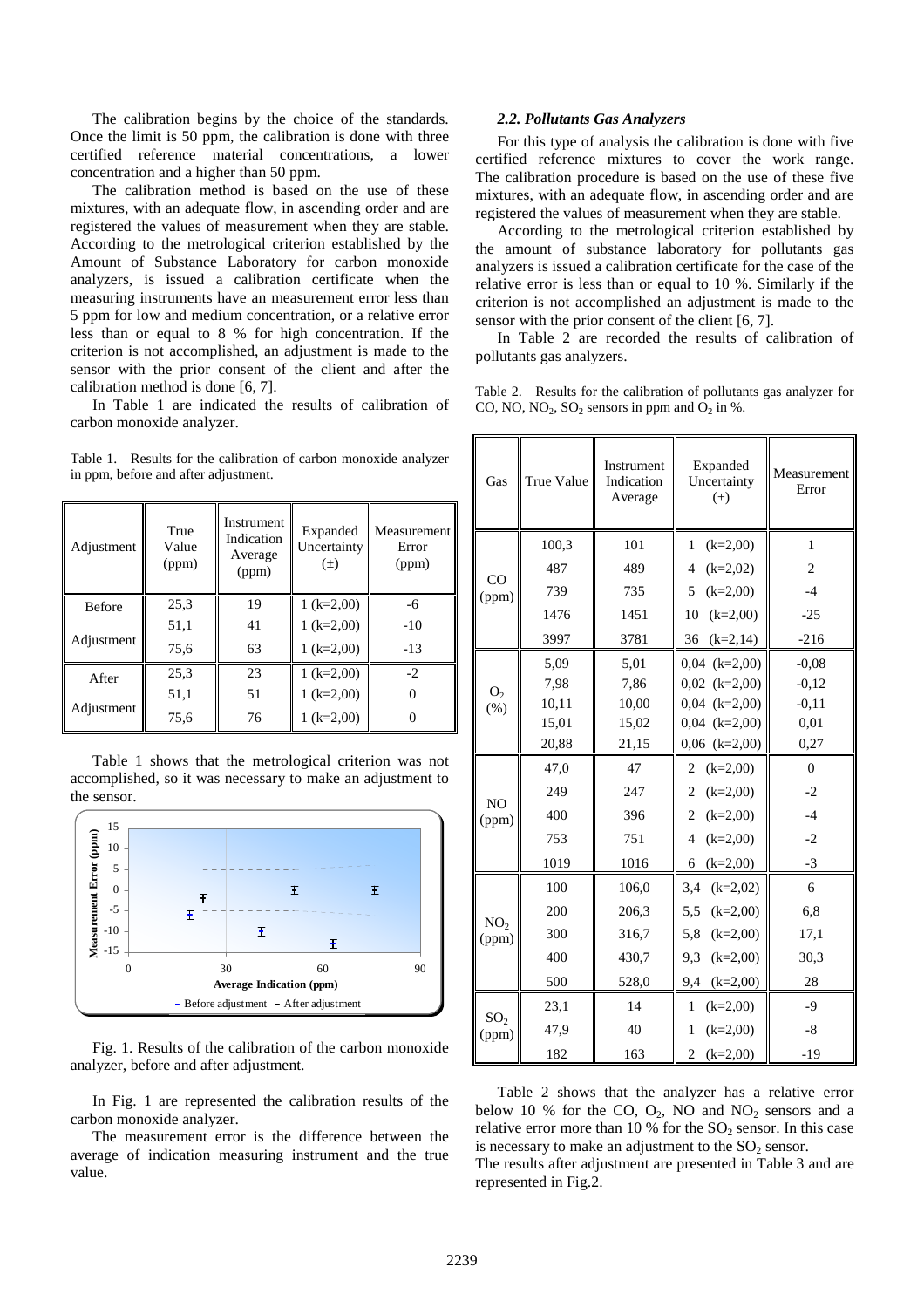The calibration begins by the choice of the standards. Once the limit is 50 ppm, the calibration is done with three certified reference material concentrations, a lower concentration and a higher than 50 ppm.

The calibration method is based on the use of these mixtures, with an adequate flow, in ascending order and are registered the values of measurement when they are stable. According to the metrological criterion established by the Amount of Substance Laboratory for carbon monoxide analyzers, is issued a calibration certificate when the measuring instruments have an measurement error less than 5 ppm for low and medium concentration, or a relative error less than or equal to 8 % for high concentration. If the criterion is not accomplished, an adjustment is made to the sensor with the prior consent of the client and after the calibration method is done [6, 7].

In Table 1 are indicated the results of calibration of carbon monoxide analyzer.

Table 1. Results for the calibration of carbon monoxide analyzer in ppm, before and after adjustment.

| Adjustment    | True<br>Value<br>(ppm) | Instrument<br>Indication<br>Average<br>(ppm) | Expanded<br>Uncertainty<br>$(\pm)$ | Measurement<br>Error<br>(ppm) |
|---------------|------------------------|----------------------------------------------|------------------------------------|-------------------------------|
| <b>Before</b> | 25,3                   | 19                                           | 1 $(k=2,00)$                       | -6                            |
|               | 51,1                   | 41                                           | $1 (k=2,00)$                       | $-10$                         |
| Adjustment    | 75,6                   | 63                                           | 1 $(k=2,00)$                       | $-13$                         |
| After         | 25,3                   | 23                                           | 1 $(k=2,00)$                       | $-2$                          |
|               | 51,1                   | 51                                           | $1 (k=2,00)$                       |                               |
| Adjustment    | 75,6                   | 76                                           | $1 (k=2,00)$                       |                               |

Table 1 shows that the metrological criterion was not accomplished, so it was necessary to make an adjustment to the sensor.



Fig. 1. Results of the calibration of the carbon monoxide analyzer, before and after adjustment.

In Fig. 1 are represented the calibration results of the carbon monoxide analyzer.

The measurement error is the difference between the average of indication measuring instrument and the true value.

#### *2.2. Pollutants Gas Analyzers*

For this type of analysis the calibration is done with five certified reference mixtures to cover the work range. The calibration procedure is based on the use of these five mixtures, with an adequate flow, in ascending order and are registered the values of measurement when they are stable.

According to the metrological criterion established by the amount of substance laboratory for pollutants gas analyzers is issued a calibration certificate for the case of the relative error is less than or equal to 10 %. Similarly if the criterion is not accomplished an adjustment is made to the sensor with the prior consent of the client [6, 7].

In Table 2 are recorded the results of calibration of pollutants gas analyzers.

Table 2. Results for the calibration of pollutants gas analyzer for CO, NO,  $NO_2$ ,  $SO_2$  sensors in ppm and  $O_2$  in %.

| Gas                      | True Value | Instrument<br>Indication<br>Average | Expanded<br>Uncertainty<br>$(\pm)$ | Measurement<br>Error |
|--------------------------|------------|-------------------------------------|------------------------------------|----------------------|
|                          | 100,3      | 101                                 | $(k=2,00)$<br>1                    | $\mathbf{1}$         |
| CO<br>(ppm)              | 487        | 489                                 | $\overline{4}$<br>$(k=2,02)$       | $\overline{2}$       |
|                          | 739        | 735                                 | 5<br>$(k=2,00)$                    | $-4$                 |
|                          | 1476       | 1451                                | 10<br>$(k=2,00)$                   | $-25$                |
|                          | 3997       | 3781                                | 36<br>$(k=2,14)$                   | $-216$               |
| O <sub>2</sub><br>$(\%)$ | 5,09       | 5,01                                | $0,04$ $(k=2,00)$                  | $-0,08$              |
|                          | 7,98       | 7,86                                | $0,02$ $(k=2,00)$                  | $-0,12$              |
|                          | 10,11      | 10,00                               | $0,04$ $(k=2,00)$                  | $-0,11$              |
|                          | 15,01      | 15,02                               | $0,04$ $(k=2,00)$                  | 0,01                 |
|                          | 20,88      | 21,15                               | $0,06$ $(k=2,00)$                  | 0,27                 |
| N <sub>O</sub><br>(ppm)  | 47,0       | 47                                  | $\overline{c}$<br>$(k=2,00)$       | $\theta$             |
|                          | 249        | 247                                 | $\overline{c}$<br>$(k=2,00)$       | $-2$                 |
|                          | 400        | 396                                 | $\overline{c}$<br>$(k=2,00)$       | $-4$                 |
|                          | 753        | 751                                 | $\overline{4}$<br>$(k=2,00)$       | $-2$                 |
|                          | 1019       | 1016                                | 6<br>$(k=2,00)$                    | $-3$                 |
| NO <sub>2</sub><br>(ppm) | 100        | 106,0                               | 3,4<br>$(k=2,02)$                  | 6                    |
|                          | 200        | 206,3                               | 5,5<br>$(k=2,00)$                  | 6,8                  |
|                          | 300        | 316,7                               | 5,8<br>$(k=2,00)$                  | 17,1                 |
|                          | 400        | 430,7                               | 9,3<br>$(k=2,00)$                  | 30,3                 |
|                          | 500        | 528,0                               | 9,4<br>$(k=2,00)$                  | 28                   |
|                          | 23,1       | 14                                  | 1<br>$(k=2,00)$                    | $-9$                 |
| SO <sub>2</sub><br>(ppm) | 47,9       | 40                                  | $(k=2,00)$<br>1                    | $-8$                 |
|                          | 182        | 163                                 | $\overline{c}$<br>$(k=2,00)$       | $-19$                |

Table 2 shows that the analyzer has a relative error below 10 % for the CO,  $O_2$ , NO and NO<sub>2</sub> sensors and a relative error more than 10 % for the  $SO_2$  sensor. In this case is necessary to make an adjustment to the  $SO<sub>2</sub>$  sensor. The results after adjustment are presented in Table 3 and are represented in Fig.2.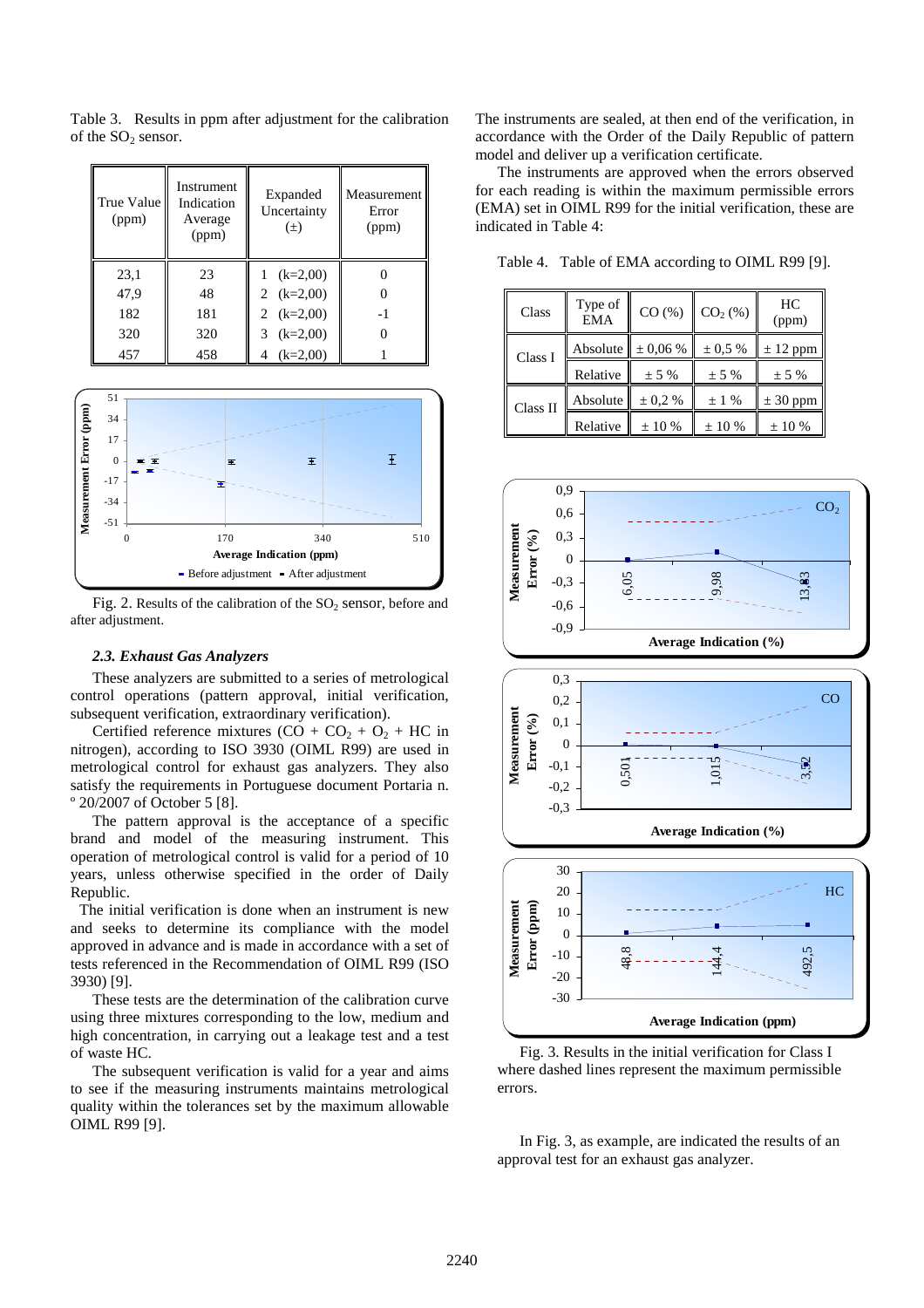Table 3. Results in ppm after adjustment for the calibration of the  $SO_2$  sensor.

| True Value<br>(ppm) | Instrument<br>Indication<br>Average<br>(ppm) | Expanded<br>Uncertainty<br>$(\pm)$ | Measurement<br>Error<br>(ppm) |
|---------------------|----------------------------------------------|------------------------------------|-------------------------------|
| 23,1                | 23                                           | $(k=2,00)$                         |                               |
| 47,9                | 48                                           | 2 $(k=2,00)$                       |                               |
| 182                 | 181                                          | 2 $(k=2,00)$                       | -1                            |
| 320                 | 320                                          | $(k=2,00)$<br>3                    |                               |
| 457                 | 458                                          | $(k=2,00)$                         |                               |



Fig. 2. Results of the calibration of the  $SO_2$  sensor, before and after adjustment.

# *2.3. Exhaust Gas Analyzers*

These analyzers are submitted to a series of metrological control operations (pattern approval, initial verification, subsequent verification, extraordinary verification).

Certified reference mixtures  $(CO + CO<sub>2</sub> + O<sub>2</sub> + HC$  in nitrogen), according to ISO 3930 (OIML R99) are used in metrological control for exhaust gas analyzers. They also satisfy the requirements in Portuguese document Portaria n. º 20/2007 of October 5 [8].

The pattern approval is the acceptance of a specific brand and model of the measuring instrument. This operation of metrological control is valid for a period of 10 years, unless otherwise specified in the order of Daily Republic.

 The initial verification is done when an instrument is new and seeks to determine its compliance with the model approved in advance and is made in accordance with a set of tests referenced in the Recommendation of OIML R99 (ISO 3930) [9].

These tests are the determination of the calibration curve using three mixtures corresponding to the low, medium and high concentration, in carrying out a leakage test and a test of waste HC.

The subsequent verification is valid for a year and aims to see if the measuring instruments maintains metrological quality within the tolerances set by the maximum allowable OIML R99 [9].

The instruments are sealed, at then end of the verification, in accordance with the Order of the Daily Republic of pattern model and deliver up a verification certificate.

The instruments are approved when the errors observed for each reading is within the maximum permissible errors (EMA) set in OIML R99 for the initial verification, these are indicated in Table 4:

Class Type of  $CO(%)$  $CO<sub>2</sub>(\%)$  HC (ppm) Class I  $\Delta$ bsolute  $\pm 0.06 \%$   $\pm 0.5 \%$   $\pm 12$  ppm Relative  $\|\pm 5\% \|\pm 5\% \|\pm 5\%$ Class II  $\Delta$ bsolute  $\pm 0.2 \%$   $\pm 1 \%$   $\pm 30$  ppm Relative  $\|\pm 10\% \| \pm 10\% \| \pm 10\%$ 



Fig. 3. Results in the initial verification for Class I where dashed lines represent the maximum permissible errors.

In Fig. 3, as example, are indicated the results of an approval test for an exhaust gas analyzer.

Table 4. Table of EMA according to OIML R99 [9].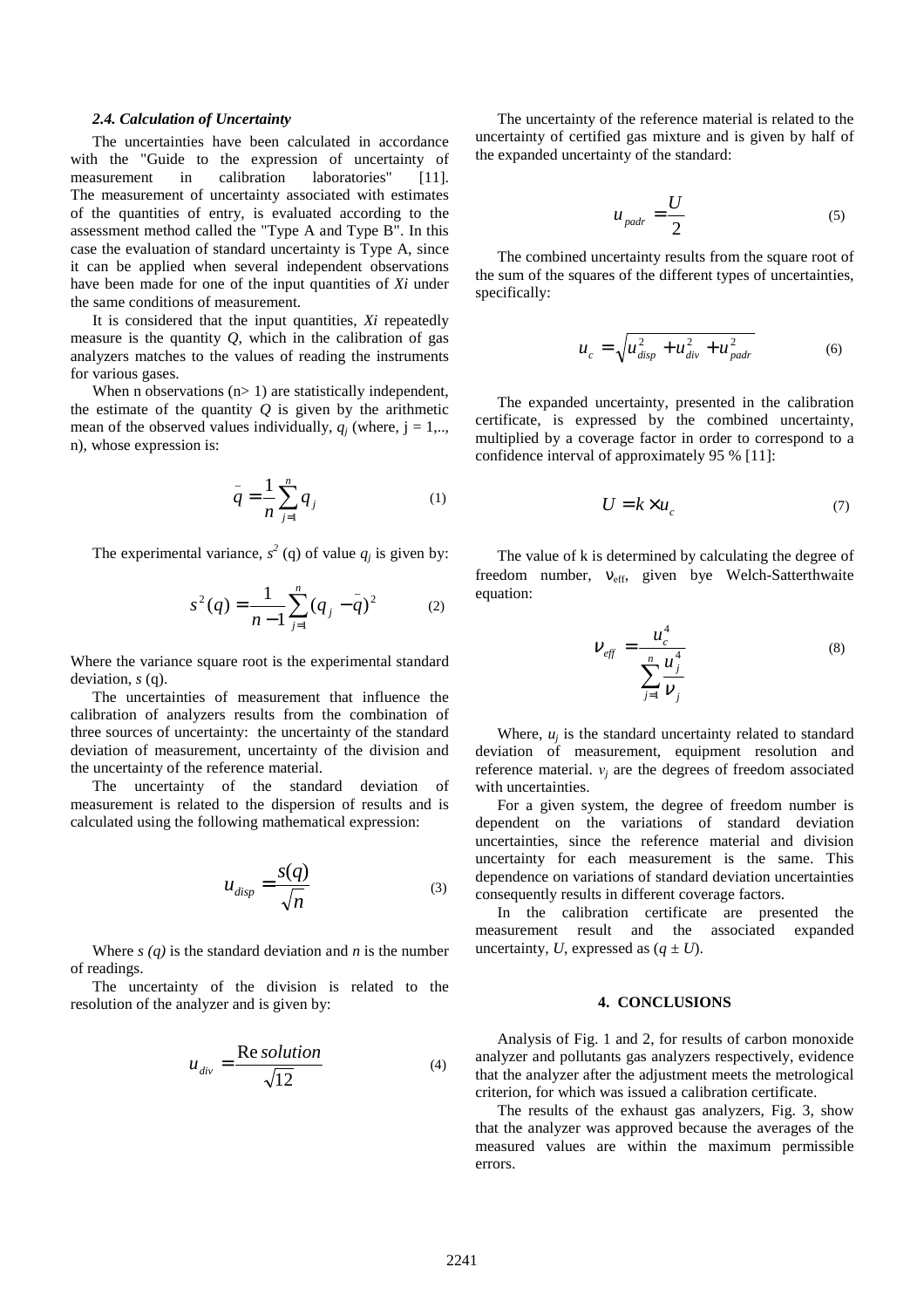## *2.4. Calculation of Uncertainty*

The uncertainties have been calculated in accordance with the "Guide to the expression of uncertainty of measurement in calibration laboratories" [11]. The measurement of uncertainty associated with estimates of the quantities of entry, is evaluated according to the assessment method called the "Type A and Type B". In this case the evaluation of standard uncertainty is Type A, since it can be applied when several independent observations have been made for one of the input quantities of *Xi* under the same conditions of measurement.

It is considered that the input quantities, *Xi* repeatedly measure is the quantity *Q*, which in the calibration of gas analyzers matches to the values of reading the instruments for various gases.

When n observations  $(n>1)$  are statistically independent, the estimate of the quantity  *is given by the arithmetic* mean of the observed values individually,  $q_j$  (where,  $j = 1, \dots$ n), whose expression is:

$$
\bar{q} = \frac{1}{n} \sum_{j=1}^{n} q_j \tag{1}
$$

The experimental variance,  $s^2$  (q) of value  $q_j$  is given by:

$$
s^{2}(q) = \frac{1}{n-1} \sum_{j=1}^{n} (q_{j} - q)^{2}
$$
 (2)

Where the variance square root is the experimental standard deviation, *s* (q).

The uncertainties of measurement that influence the calibration of analyzers results from the combination of three sources of uncertainty: the uncertainty of the standard deviation of measurement, uncertainty of the division and the uncertainty of the reference material.

The uncertainty of the standard deviation of measurement is related to the dispersion of results and is calculated using the following mathematical expression:

$$
u_{disp} = \frac{s(q)}{\sqrt{n}}\tag{3}
$$

Where  $s(q)$  is the standard deviation and  $n$  is the number of readings.

The uncertainty of the division is related to the resolution of the analyzer and is given by:

$$
u_{div} = \frac{\text{Re solution}}{\sqrt{12}} \tag{4}
$$

The uncertainty of the reference material is related to the uncertainty of certified gas mixture and is given by half of the expanded uncertainty of the standard:

$$
u_{\text{padr}} = \frac{U}{2} \tag{5}
$$

The combined uncertainty results from the square root of the sum of the squares of the different types of uncertainties, specifically:

$$
u_c = \sqrt{u_{disp}^2 + u_{div}^2 + u_{padr}^2}
$$
 (6)

The expanded uncertainty, presented in the calibration certificate, is expressed by the combined uncertainty, multiplied by a coverage factor in order to correspond to a confidence interval of approximately 95 % [11]:

$$
U = k \times u_c \tag{7}
$$

The value of k is determined by calculating the degree of freedom number, v<sub>eff</sub>, given bye Welch-Satterthwaite equation:

$$
V_{\text{eff}} = \frac{u_c^4}{\sum_{j=1}^n \frac{u_j^4}{V_j}}
$$
(8)

Where,  $u_j$  is the standard uncertainty related to standard deviation of measurement, equipment resolution and reference material.  $v_j$  are the degrees of freedom associated with uncertainties.

For a given system, the degree of freedom number is dependent on the variations of standard deviation uncertainties, since the reference material and division uncertainty for each measurement is the same. This dependence on variations of standard deviation uncertainties consequently results in different coverage factors.

In the calibration certificate are presented the measurement result and the associated expanded uncertainty, *U*, expressed as  $(q \pm U)$ .

#### **4. CONCLUSIONS**

Analysis of Fig. 1 and 2, for results of carbon monoxide analyzer and pollutants gas analyzers respectively, evidence that the analyzer after the adjustment meets the metrological criterion, for which was issued a calibration certificate.

The results of the exhaust gas analyzers, Fig. 3, show that the analyzer was approved because the averages of the measured values are within the maximum permissible errors.